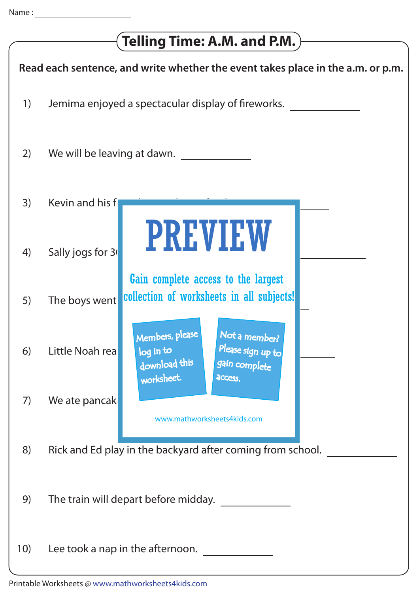